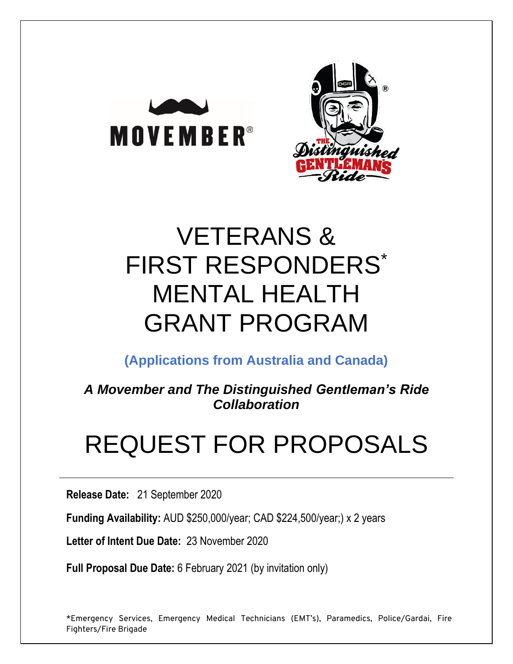



# VETERANS & FIRST RESPONDERS\* MENTAL HEALTH GRANT PROGRAM

**(Applications from Australia and Canada)**

*A Movember and The Distinguished Gentleman's Ride Collaboration*

# REQUEST FOR PROPOSALS

**Release Date:** 21 September 2020

**Funding Availability:** AUD \$250,000/year; CAD \$224,500/year;) x 2 years

**Letter of Intent Due Date:** 23 November 2020

**Full Proposal Due Date:** 6 February 2021 (by invitation only)

\*Emergency Services, Emergency Medical Technicians (EMT's), Paramedics, Police/Gardai, Fire Fighters/Fire Brigade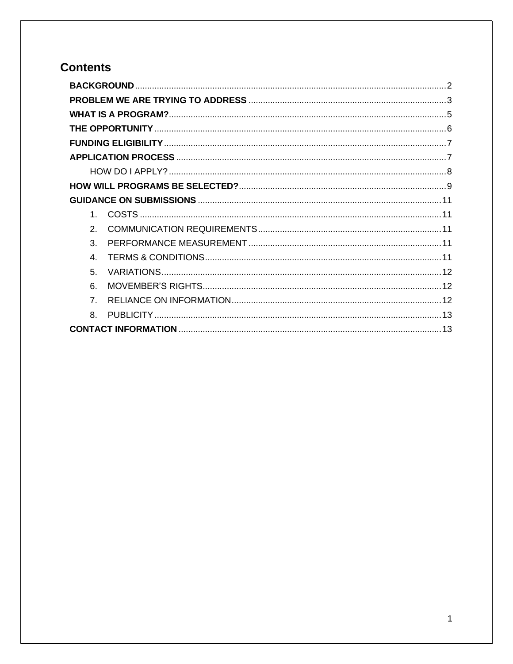# **Contents**

| 1              |  |  |  |
|----------------|--|--|--|
| $\mathcal{P}$  |  |  |  |
| 3              |  |  |  |
| 4              |  |  |  |
| 5              |  |  |  |
| 6              |  |  |  |
| $\overline{7}$ |  |  |  |
| 8.             |  |  |  |
|                |  |  |  |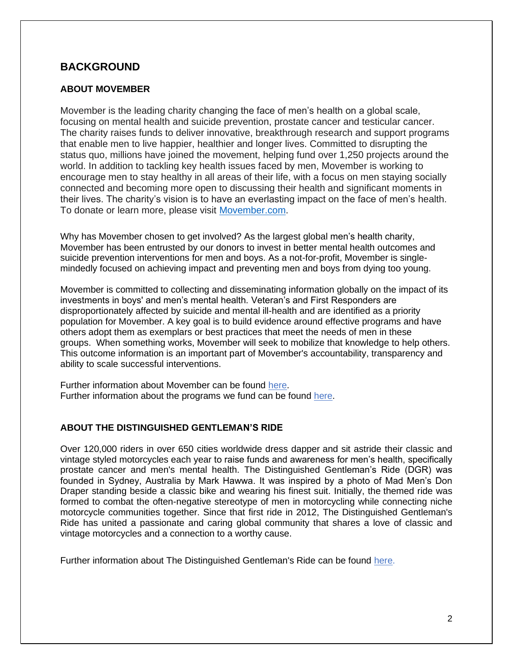## <span id="page-2-0"></span>**BACKGROUND**

#### **ABOUT MOVEMBER**

Movember is the leading charity changing the face of men's health on a global scale, focusing on mental health and suicide prevention, prostate cancer and testicular cancer. The charity raises funds to deliver innovative, breakthrough research and support programs that enable men to live happier, healthier and longer lives. Committed to disrupting the status quo, millions have joined the movement, helping fund over 1,250 projects around the world. In addition to tackling key health issues faced by men, Movember is working to encourage men to stay healthy in all areas of their life, with a focus on men staying socially connected and becoming more open to discussing their health and significant moments in their lives. The charity's vision is to have an everlasting impact on the face of men's health. To donate or learn more, please visit [Movember.com.](http://movember.com/)

Why has Movember chosen to get involved? As the largest global men's health charity, Movember has been entrusted by our donors to invest in better mental health outcomes and suicide prevention interventions for men and boys. As a not-for-profit, Movember is singlemindedly focused on achieving impact and preventing men and boys from dying too young.

Movember is committed to collecting and disseminating information globally on the impact of its investments in boys' and men's mental health. Veteran's and First Responders are disproportionately affected by suicide and mental ill-health and are identified as a priority population for Movember. A key goal is to build evidence around effective programs and have others adopt them as exemplars or best practices that meet the needs of men in these groups. When something works, Movember will seek to mobilize that knowledge to help others. This outcome information is an important part of Movember's accountability, transparency and ability to scale successful interventions.

Further information about Movember can be found [here.](http://ca.movember.com/about) Further information about the programs we fund can be found [here.](https://ca.movember.com/report-cards)

#### **ABOUT THE DISTINGUISHED GENTLEMAN'S RIDE**

Over 120,000 riders in over 650 cities worldwide dress dapper and sit astride their classic and vintage styled motorcycles each year to raise funds and awareness for men's health, specifically prostate cancer and men's mental health. The Distinguished Gentleman's Ride (DGR) was founded in Sydney, Australia by Mark Hawwa. It was inspired by a photo of Mad Men's Don Draper standing beside a classic bike and wearing his finest suit. Initially, the themed ride was formed to combat the often-negative stereotype of men in motorcycling while connecting niche motorcycle communities together. Since that first ride in 2012, The Distinguished Gentleman's Ride has united a passionate and caring global community that shares a love of classic and vintage motorcycles and a connection to a worthy cause.

Further information about The Distinguished Gentleman's Ride can be found [here.](https://www.gentlemansride.com/)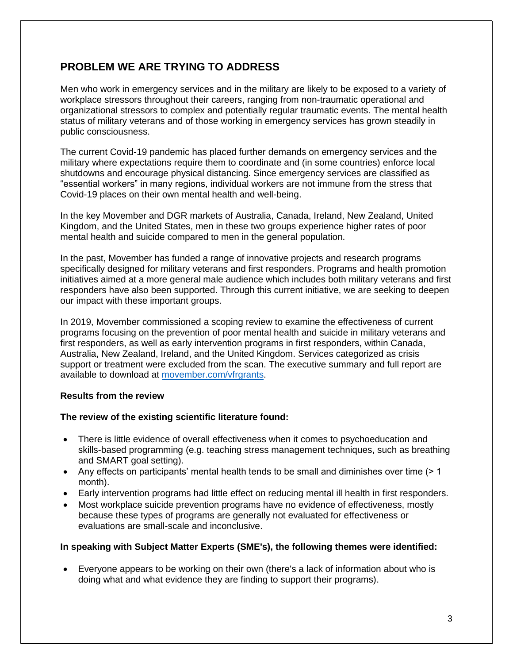## <span id="page-3-0"></span>**PROBLEM WE ARE TRYING TO ADDRESS**

Men who work in emergency services and in the military are likely to be exposed to a variety of workplace stressors throughout their careers, ranging from non-traumatic operational and organizational stressors to complex and potentially regular traumatic events. The mental health status of military veterans and of those working in emergency services has grown steadily in public consciousness.

The current Covid-19 pandemic has placed further demands on emergency services and the military where expectations require them to coordinate and (in some countries) enforce local shutdowns and encourage physical distancing. Since emergency services are classified as "essential workers" in many regions, individual workers are not immune from the stress that Covid-19 places on their own mental health and well-being.

In the key Movember and DGR markets of Australia, Canada, Ireland, New Zealand, United Kingdom, and the United States, men in these two groups experience higher rates of poor mental health and suicide compared to men in the general population.

In the past, Movember has funded a range of innovative projects and research programs specifically designed for military veterans and first responders. Programs and health promotion initiatives aimed at a more general male audience which includes both military veterans and first responders have also been supported. Through this current initiative, we are seeking to deepen our impact with these important groups.

In 2019, Movember commissioned a scoping review to examine the effectiveness of current programs focusing on the prevention of poor mental health and suicide in military veterans and first responders, as well as early intervention programs in first responders, within Canada, Australia, New Zealand, Ireland, and the United Kingdom. Services categorized as crisis support or treatment were excluded from the scan. The executive summary and full report are available to download at [movember.com/vfrgrants.](http://movember.com/vfrgrants)

#### **Results from the review**

#### **The review of the existing scientific literature found:**

- There is little evidence of overall effectiveness when it comes to psychoeducation and skills-based programming (e.g. teaching stress management techniques, such as breathing and SMART goal setting).
- Any effects on participants' mental health tends to be small and diminishes over time (> 1 month).
- Early intervention programs had little effect on reducing mental ill health in first responders.
- Most workplace suicide prevention programs have no evidence of effectiveness, mostly because these types of programs are generally not evaluated for effectiveness or evaluations are small-scale and inconclusive.

#### **In speaking with Subject Matter Experts (SME's), the following themes were identified:**

• Everyone appears to be working on their own (there's a lack of information about who is doing what and what evidence they are finding to support their programs).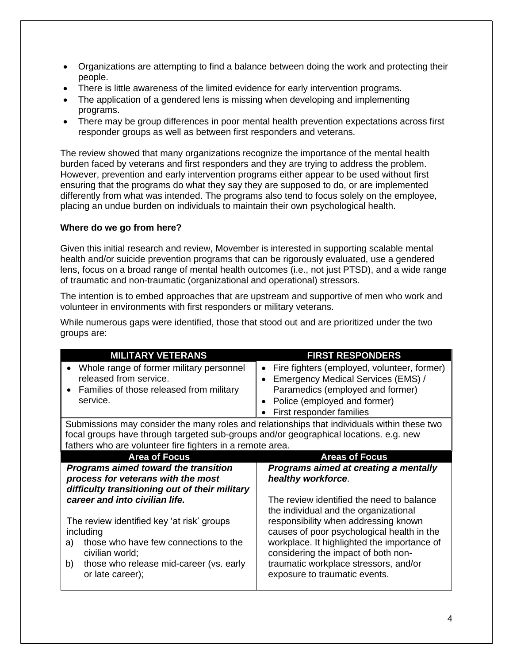- Organizations are attempting to find a balance between doing the work and protecting their people.
- There is little awareness of the limited evidence for early intervention programs.
- The application of a gendered lens is missing when developing and implementing programs.
- There may be group differences in poor mental health prevention expectations across first responder groups as well as between first responders and veterans.

The review showed that many organizations recognize the importance of the mental health burden faced by veterans and first responders and they are trying to address the problem. However, prevention and early intervention programs either appear to be used without first ensuring that the programs do what they say they are supposed to do, or are implemented differently from what was intended. The programs also tend to focus solely on the employee, placing an undue burden on individuals to maintain their own psychological health.

#### **Where do we go from here?**

Given this initial research and review, Movember is interested in supporting scalable mental health and/or suicide prevention programs that can be rigorously evaluated, use a gendered lens, focus on a broad range of mental health outcomes (i.e., not just PTSD), and a wide range of traumatic and non-traumatic (organizational and operational) stressors.

The intention is to embed approaches that are upstream and supportive of men who work and volunteer in environments with first responders or military veterans.

While numerous gaps were identified, those that stood out and are prioritized under the two groups are:

| <b>MILITARY VETERANS</b>                                                                                                            | <b>FIRST RESPONDERS</b>                                                                                                                                                           |
|-------------------------------------------------------------------------------------------------------------------------------------|-----------------------------------------------------------------------------------------------------------------------------------------------------------------------------------|
| Whole range of former military personnel<br>released from service.<br>Families of those released from military<br>service.          | Fire fighters (employed, volunteer, former)<br>Emergency Medical Services (EMS) /<br>Paramedics (employed and former)<br>Police (employed and former)<br>First responder families |
| Submissions may consider the many roles and relationships that individuals within these two                                         |                                                                                                                                                                                   |
| focal groups have through targeted sub-groups and/or geographical locations. e.g. new                                               |                                                                                                                                                                                   |
| fathers who are volunteer fire fighters in a remote area.                                                                           |                                                                                                                                                                                   |
| <b>Area of Focus</b>                                                                                                                | <b>Areas of Focus</b>                                                                                                                                                             |
| <b>Programs aimed toward the transition</b><br>process for veterans with the most<br>difficulty transitioning out of their military | Programs aimed at creating a mentally<br>healthy workforce.                                                                                                                       |
| career and into civilian life.                                                                                                      | The review identified the need to balance<br>the individual and the organizational                                                                                                |
| The review identified key 'at risk' groups<br>including                                                                             | responsibility when addressing known<br>causes of poor psychological health in the                                                                                                |
| those who have few connections to the<br>a)<br>civilian world;                                                                      | workplace. It highlighted the importance of<br>considering the impact of both non-                                                                                                |
| those who release mid-career (vs. early<br>b)<br>or late career);                                                                   | traumatic workplace stressors, and/or<br>exposure to traumatic events.                                                                                                            |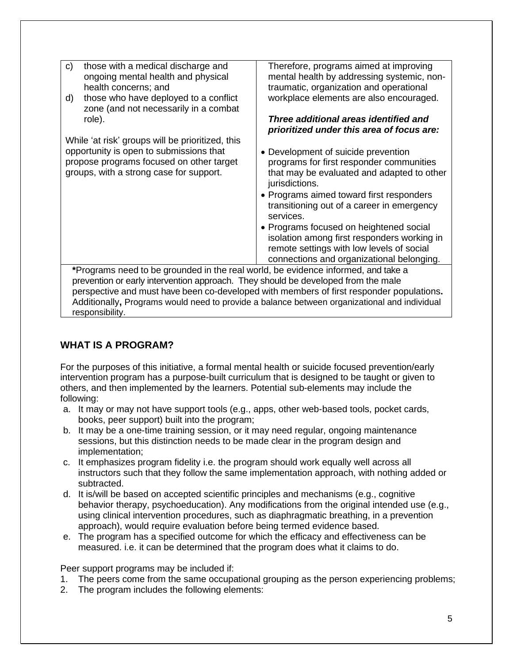| C)                                                                                | those with a medical discharge and<br>ongoing mental health and physical                     | Therefore, programs aimed at improving<br>mental health by addressing systemic, non-     |
|-----------------------------------------------------------------------------------|----------------------------------------------------------------------------------------------|------------------------------------------------------------------------------------------|
|                                                                                   | health concerns; and                                                                         | traumatic, organization and operational                                                  |
| d)                                                                                | those who have deployed to a conflict<br>zone (and not necessarily in a combat               | workplace elements are also encouraged.                                                  |
|                                                                                   | role).                                                                                       | Three additional areas identified and<br>prioritized under this area of focus are:       |
|                                                                                   | While 'at risk' groups will be prioritized, this                                             |                                                                                          |
|                                                                                   | opportunity is open to submissions that                                                      | • Development of suicide prevention                                                      |
|                                                                                   | propose programs focused on other target                                                     | programs for first responder communities                                                 |
|                                                                                   | groups, with a strong case for support.                                                      | that may be evaluated and adapted to other<br>jurisdictions.                             |
|                                                                                   |                                                                                              | • Programs aimed toward first responders                                                 |
|                                                                                   |                                                                                              | transitioning out of a career in emergency<br>services.                                  |
|                                                                                   |                                                                                              | • Programs focused on heightened social                                                  |
|                                                                                   |                                                                                              | isolation among first responders working in                                              |
|                                                                                   |                                                                                              | remote settings with low levels of social                                                |
|                                                                                   |                                                                                              | connections and organizational belonging.                                                |
| *Programs need to be grounded in the real world, be evidence informed, and take a |                                                                                              |                                                                                          |
| prevention or early intervention approach. They should be developed from the male |                                                                                              |                                                                                          |
|                                                                                   |                                                                                              | perspective and must have been co-developed with members of first responder populations. |
|                                                                                   | Additionally, Programs would need to provide a balance between organizational and individual |                                                                                          |

responsibility.

## <span id="page-5-0"></span>**WHAT IS A PROGRAM?**

For the purposes of this initiative, a formal mental health or suicide focused prevention/early intervention program has a purpose-built curriculum that is designed to be taught or given to others, and then implemented by the learners. Potential sub-elements may include the following:

- a. It may or may not have support tools (e.g., apps, other web-based tools, pocket cards, books, peer support) built into the program;
- b. It may be a one-time training session, or it may need regular, ongoing maintenance sessions, but this distinction needs to be made clear in the program design and implementation;
- c. It emphasizes program fidelity i.e. the program should work equally well across all instructors such that they follow the same implementation approach, with nothing added or subtracted.
- d. It is/will be based on accepted scientific principles and mechanisms (e.g., cognitive behavior therapy, psychoeducation). Any modifications from the original intended use (e.g., using clinical intervention procedures, such as diaphragmatic breathing, in a prevention approach), would require evaluation before being termed evidence based.
- e. The program has a specified outcome for which the efficacy and effectiveness can be measured. i.e. it can be determined that the program does what it claims to do.

Peer support programs may be included if:

- 1. The peers come from the same occupational grouping as the person experiencing problems;
- 2. The program includes the following elements: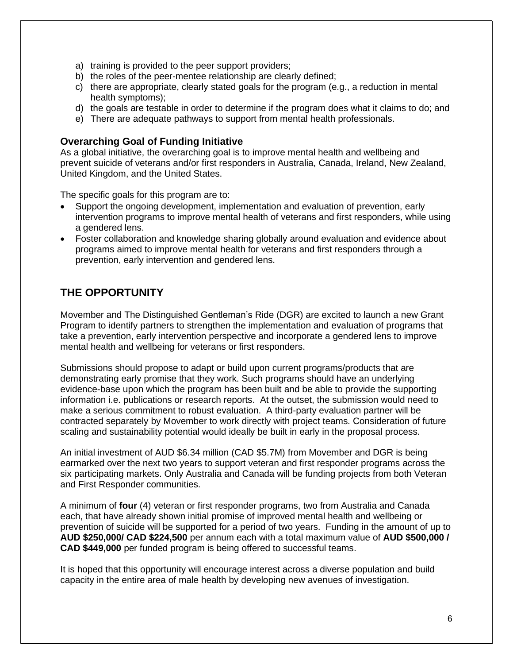- a) training is provided to the peer support providers;
- b) the roles of the peer-mentee relationship are clearly defined;
- c) there are appropriate, clearly stated goals for the program (e.g., a reduction in mental health symptoms);
- d) the goals are testable in order to determine if the program does what it claims to do; and
- e) There are adequate pathways to support from mental health professionals.

#### **Overarching Goal of Funding Initiative**

As a global initiative, the overarching goal is to improve mental health and wellbeing and prevent suicide of veterans and/or first responders in Australia, Canada, Ireland, New Zealand, United Kingdom, and the United States.

The specific goals for this program are to:

- Support the ongoing development, implementation and evaluation of prevention, early intervention programs to improve mental health of veterans and first responders, while using a gendered lens.
- Foster collaboration and knowledge sharing globally around evaluation and evidence about programs aimed to improve mental health for veterans and first responders through a prevention, early intervention and gendered lens.

## <span id="page-6-0"></span>**THE OPPORTUNITY**

Movember and The Distinguished Gentleman's Ride (DGR) are excited to launch a new Grant Program to identify partners to strengthen the implementation and evaluation of programs that take a prevention, early intervention perspective and incorporate a gendered lens to improve mental health and wellbeing for veterans or first responders.

Submissions should propose to adapt or build upon current programs/products that are demonstrating early promise that they work. Such programs should have an underlying evidence-base upon which the program has been built and be able to provide the supporting information i.e. publications or research reports. At the outset, the submission would need to make a serious commitment to robust evaluation. A third-party evaluation partner will be contracted separately by Movember to work directly with project teams. Consideration of future scaling and sustainability potential would ideally be built in early in the proposal process.

An initial investment of AUD \$6.34 million (CAD \$5.7M) from Movember and DGR is being earmarked over the next two years to support veteran and first responder programs across the six participating markets. Only Australia and Canada will be funding projects from both Veteran and First Responder communities.

A minimum of **four** (4) veteran or first responder programs, two from Australia and Canada each, that have already shown initial promise of improved mental health and wellbeing or prevention of suicide will be supported for a period of two years. Funding in the amount of up to **AUD \$250,000/ CAD \$224,500** per annum each with a total maximum value of **AUD \$500,000 / CAD \$449,000** per funded program is being offered to successful teams.

<span id="page-6-1"></span>It is hoped that this opportunity will encourage interest across a diverse population and build capacity in the entire area of male health by developing new avenues of investigation.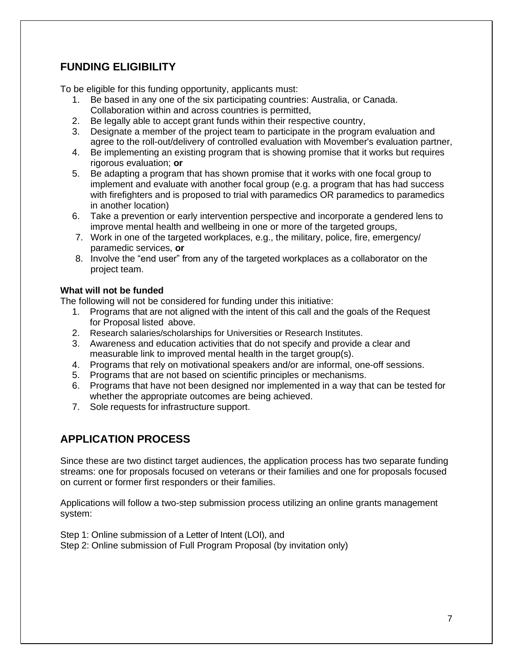# **FUNDING ELIGIBILITY**

To be eligible for this funding opportunity, applicants must:

- 1. Be based in any one of the six participating countries: Australia, or Canada. Collaboration within and across countries is permitted,
- 2. Be legally able to accept grant funds within their respective country,
- 3. Designate a member of the project team to participate in the program evaluation and agree to the roll-out/delivery of controlled evaluation with Movember's evaluation partner,
- 4. Be implementing an existing program that is showing promise that it works but requires rigorous evaluation; **or**
- 5. Be adapting a program that has shown promise that it works with one focal group to implement and evaluate with another focal group (e.g. a program that has had success with firefighters and is proposed to trial with paramedics OR paramedics to paramedics in another location)
- 6. Take a prevention or early intervention perspective and incorporate a gendered lens to improve mental health and wellbeing in one or more of the targeted groups,
- 7. Work in one of the targeted workplaces, e.g., the military, police, fire, emergency/ paramedic services, **or**
- 8. Involve the "end user" from any of the targeted workplaces as a collaborator on the project team.

#### **What will not be funded**

The following will not be considered for funding under this initiative:

- 1. Programs that are not aligned with the intent of this call and the goals of the Request for Proposal listed above.
- 2. Research salaries/scholarships for Universities or Research Institutes.
- 3. Awareness and education activities that do not specify and provide a clear and measurable link to improved mental health in the target group(s).
- 4. Programs that rely on motivational speakers and/or are informal, one-off sessions.
- 5. Programs that are not based on scientific principles or mechanisms.
- 6. Programs that have not been designed nor implemented in a way that can be tested for whether the appropriate outcomes are being achieved.
- 7. Sole requests for infrastructure support.

# <span id="page-7-0"></span>**APPLICATION PROCESS**

Since these are two distinct target audiences, the application process has two separate funding streams: one for proposals focused on veterans or their families and one for proposals focused on current or former first responders or their families.

Applications will follow a two-step submission process utilizing an online grants management system:

Step 1: Online submission of a Letter of Intent (LOI), and Step 2: Online submission of Full Program Proposal (by invitation only)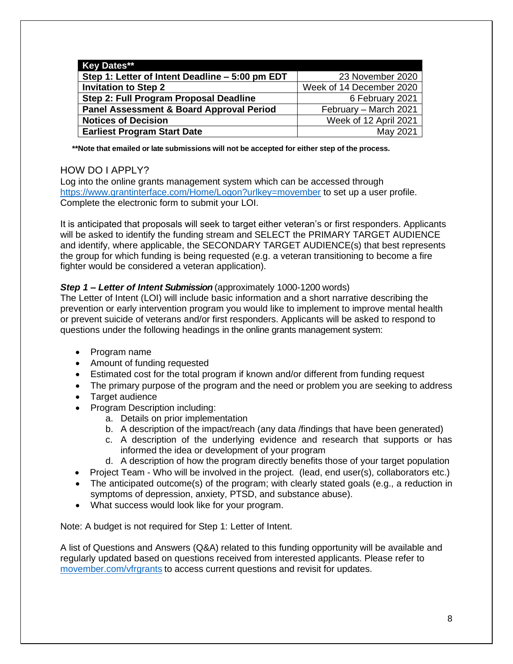| <b>Key Dates**</b>                                                  |                          |
|---------------------------------------------------------------------|--------------------------|
| Step 1: Letter of Intent Deadline – 5:00 pm EDT<br>23 November 2020 |                          |
| <b>Invitation to Step 2</b>                                         | Week of 14 December 2020 |
| Step 2: Full Program Proposal Deadline<br>6 February 2021           |                          |
| <b>Panel Assessment &amp; Board Approval Period</b>                 | February - March 2021    |
| <b>Notices of Decision</b>                                          | Week of 12 April 2021    |
| <b>Earliest Program Start Date</b>                                  | May 2021                 |

**\*\*Note that emailed or late submissions will not be accepted for either step of the process.**

#### <span id="page-8-0"></span>HOW DO I APPLY?

Log into the online grants management system which can be accessed through <https://www.grantinterface.com/Home/Logon?urlkey=movember> to set up a user profile. Complete the electronic form to submit your LOI.

It is anticipated that proposals will seek to target either veteran's or first responders. Applicants will be asked to identify the funding stream and SELECT the PRIMARY TARGET AUDIENCE and identify, where applicable, the SECONDARY TARGET AUDIENCE(s) that best represents the group for which funding is being requested (e.g. a veteran transitioning to become a fire fighter would be considered a veteran application).

#### *Step 1 – Letter of Intent Submission* (approximately 1000-1200 words)

The Letter of Intent (LOI) will include basic information and a short narrative describing the prevention or early intervention program you would like to implement to improve mental health or prevent suicide of veterans and/or first responders. Applicants will be asked to respond to questions under the following headings in the online grants management system:

- Program name
- Amount of funding requested
- Estimated cost for the total program if known and/or different from funding request
- The primary purpose of the program and the need or problem you are seeking to address
- Target audience
- Program Description including:
	- a. Details on prior implementation
	- b. A description of the impact/reach (any data /findings that have been generated)
	- c. A description of the underlying evidence and research that supports or has informed the idea or development of your program
	- d. A description of how the program directly benefits those of your target population
- Project Team Who will be involved in the project. (lead, end user(s), collaborators etc.)
- The anticipated outcome(s) of the program; with clearly stated goals (e.g., a reduction in symptoms of depression, anxiety, PTSD, and substance abuse).
- What success would look like for your program.

Note: A budget is not required for Step 1: Letter of Intent.

A list of Questions and Answers (Q&A) related to this funding opportunity will be available and regularly updated based on questions received from interested applicants. Please refer to [movember.com/vfrgrants](http://movember.com/vfrgrants) to access current questions and revisit for updates.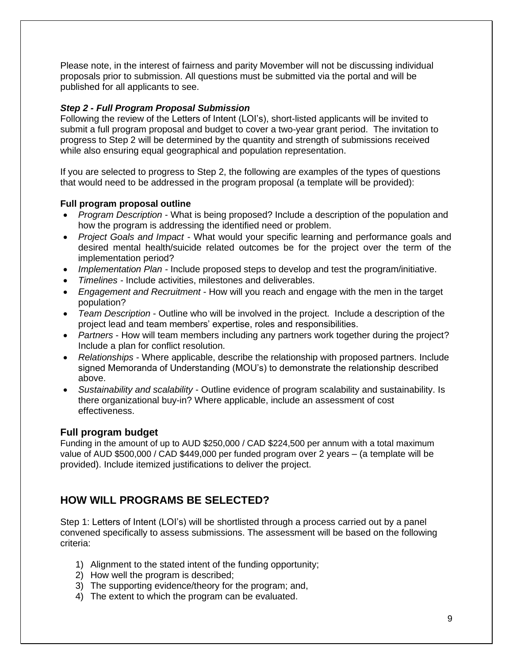Please note, in the interest of fairness and parity Movember will not be discussing individual proposals prior to submission. All questions must be submitted via the portal and will be published for all applicants to see.

#### *Step 2 - Full Program Proposal Submission*

Following the review of the Letters of Intent (LOI's), short-listed applicants will be invited to submit a full program proposal and budget to cover a two-year grant period. The invitation to progress to Step 2 will be determined by the quantity and strength of submissions received while also ensuring equal geographical and population representation.

If you are selected to progress to Step 2, the following are examples of the types of questions that would need to be addressed in the program proposal (a template will be provided):

#### **Full program proposal outline**

- *Program Description* What is being proposed? Include a description of the population and how the program is addressing the identified need or problem.
- *Project Goals and Impact*  What would your specific learning and performance goals and desired mental health/suicide related outcomes be for the project over the term of the implementation period?
- *Implementation Plan -* Include proposed steps to develop and test the program/initiative.
- *Timelines -* Include activities, milestones and deliverables.
- *Engagement and Recruitment*  How will you reach and engage with the men in the target population?
- *Team Description* Outline who will be involved in the project. Include a description of the project lead and team members' expertise, roles and responsibilities.
- *Partners* How will team members including any partners work together during the project? Include a plan for conflict resolution.
- *Relationships* Where applicable, describe the relationship with proposed partners. Include signed Memoranda of Understanding (MOU's) to demonstrate the relationship described above.
- *Sustainability and scalability*  Outline evidence of program scalability and sustainability. Is there organizational buy-in? Where applicable, include an assessment of cost effectiveness.

#### **Full program budget**

Funding in the amount of up to AUD \$250,000 / CAD \$224,500 per annum with a total maximum value of AUD \$500,000 / CAD \$449,000 per funded program over 2 years – (a template will be provided). Include itemized justifications to deliver the project.

## <span id="page-9-0"></span>**HOW WILL PROGRAMS BE SELECTED?**

Step 1: Letters of Intent (LOI's) will be shortlisted through a process carried out by a panel convened specifically to assess submissions. The assessment will be based on the following criteria:

- 1) Alignment to the stated intent of the funding opportunity;
- 2) How well the program is described;
- 3) The supporting evidence/theory for the program; and,
- 4) The extent to which the program can be evaluated.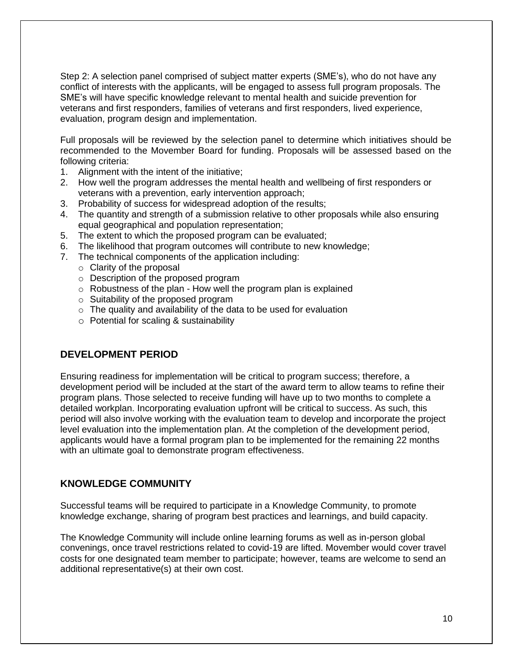Step 2: A selection panel comprised of subject matter experts (SME's), who do not have any conflict of interests with the applicants, will be engaged to assess full program proposals. The SME's will have specific knowledge relevant to mental health and suicide prevention for veterans and first responders, families of veterans and first responders, lived experience, evaluation, program design and implementation.

Full proposals will be reviewed by the selection panel to determine which initiatives should be recommended to the Movember Board for funding. Proposals will be assessed based on the following criteria:

- 1. Alignment with the intent of the initiative;
- 2. How well the program addresses the mental health and wellbeing of first responders or veterans with a prevention, early intervention approach;
- 3. Probability of success for widespread adoption of the results;
- 4. The quantity and strength of a submission relative to other proposals while also ensuring equal geographical and population representation;
- 5. The extent to which the proposed program can be evaluated;
- 6. The likelihood that program outcomes will contribute to new knowledge;
- 7. The technical components of the application including:
	- o Clarity of the proposal
	- o Description of the proposed program
	- $\circ$  Robustness of the plan How well the program plan is explained
	- o Suitability of the proposed program
	- $\circ$  The quality and availability of the data to be used for evaluation
	- o Potential for scaling & sustainability

#### **DEVELOPMENT PERIOD**

Ensuring readiness for implementation will be critical to program success; therefore, a development period will be included at the start of the award term to allow teams to refine their program plans. Those selected to receive funding will have up to two months to complete a detailed workplan. Incorporating evaluation upfront will be critical to success. As such, this period will also involve working with the evaluation team to develop and incorporate the project level evaluation into the implementation plan. At the completion of the development period, applicants would have a formal program plan to be implemented for the remaining 22 months with an ultimate goal to demonstrate program effectiveness.

#### **KNOWLEDGE COMMUNITY**

Successful teams will be required to participate in a Knowledge Community, to promote knowledge exchange, sharing of program best practices and learnings, and build capacity.

The Knowledge Community will include online learning forums as well as in-person global convenings, once travel restrictions related to covid-19 are lifted. Movember would cover travel costs for one designated team member to participate; however, teams are welcome to send an additional representative(s) at their own cost.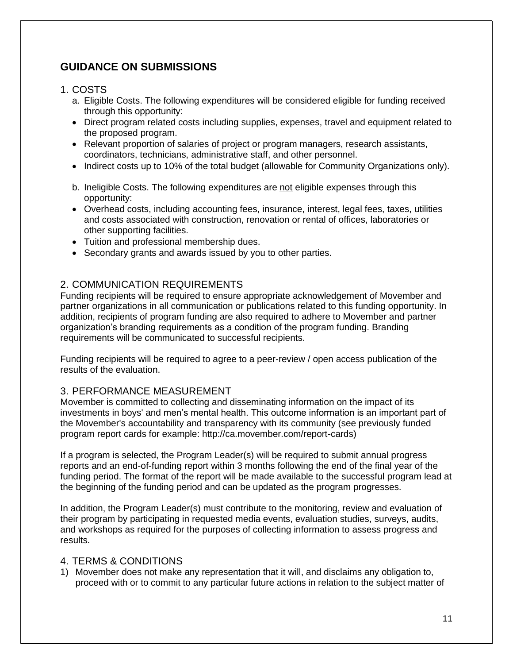# <span id="page-11-0"></span>**GUIDANCE ON SUBMISSIONS**

#### <span id="page-11-1"></span>1. COSTS

- a. Eligible Costs. The following expenditures will be considered eligible for funding received through this opportunity:
- Direct program related costs including supplies, expenses, travel and equipment related to the proposed program.
- Relevant proportion of salaries of project or program managers, research assistants, coordinators, technicians, administrative staff, and other personnel.
- Indirect costs up to 10% of the total budget (allowable for Community Organizations only).
- b. Ineligible Costs. The following expenditures are not eligible expenses through this opportunity:
- Overhead costs, including accounting fees, insurance, interest, legal fees, taxes, utilities and costs associated with construction, renovation or rental of offices, laboratories or other supporting facilities.
- Tuition and professional membership dues.
- Secondary grants and awards issued by you to other parties.

### <span id="page-11-2"></span>2. COMMUNICATION REQUIREMENTS

Funding recipients will be required to ensure appropriate acknowledgement of Movember and partner organizations in all communication or publications related to this funding opportunity. In addition, recipients of program funding are also required to adhere to Movember and partner organization's branding requirements as a condition of the program funding. Branding requirements will be communicated to successful recipients.

Funding recipients will be required to agree to a peer-review / open access publication of the results of the evaluation.

#### <span id="page-11-3"></span>3. PERFORMANCE MEASUREMENT

Movember is committed to collecting and disseminating information on the impact of its investments in boys' and men's mental health. This outcome information is an important part of the Movember's accountability and transparency with its community (see previously funded program report cards for example: http://ca.movember.com/report-cards)

If a program is selected, the Program Leader(s) will be required to submit annual progress reports and an end-of-funding report within 3 months following the end of the final year of the funding period. The format of the report will be made available to the successful program lead at the beginning of the funding period and can be updated as the program progresses.

In addition, the Program Leader(s) must contribute to the monitoring, review and evaluation of their program by participating in requested media events, evaluation studies, surveys, audits, and workshops as required for the purposes of collecting information to assess progress and results.

#### <span id="page-11-4"></span>4. TERMS & CONDITIONS

1) Movember does not make any representation that it will, and disclaims any obligation to, proceed with or to commit to any particular future actions in relation to the subject matter of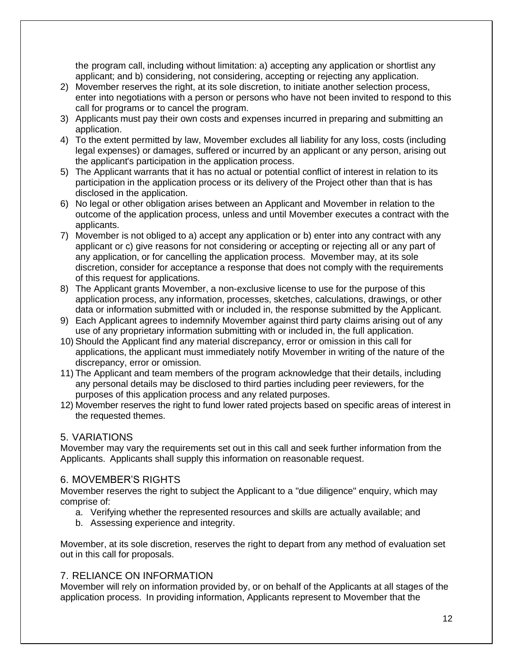the program call, including without limitation: a) accepting any application or shortlist any applicant; and b) considering, not considering, accepting or rejecting any application.

- 2) Movember reserves the right, at its sole discretion, to initiate another selection process, enter into negotiations with a person or persons who have not been invited to respond to this call for programs or to cancel the program.
- 3) Applicants must pay their own costs and expenses incurred in preparing and submitting an application.
- 4) To the extent permitted by law, Movember excludes all liability for any loss, costs (including legal expenses) or damages, suffered or incurred by an applicant or any person, arising out the applicant's participation in the application process.
- 5) The Applicant warrants that it has no actual or potential conflict of interest in relation to its participation in the application process or its delivery of the Project other than that is has disclosed in the application.
- 6) No legal or other obligation arises between an Applicant and Movember in relation to the outcome of the application process, unless and until Movember executes a contract with the applicants.
- 7) Movember is not obliged to a) accept any application or b) enter into any contract with any applicant or c) give reasons for not considering or accepting or rejecting all or any part of any application, or for cancelling the application process. Movember may, at its sole discretion, consider for acceptance a response that does not comply with the requirements of this request for applications.
- 8) The Applicant grants Movember, a non-exclusive license to use for the purpose of this application process, any information, processes, sketches, calculations, drawings, or other data or information submitted with or included in, the response submitted by the Applicant.
- 9) Each Applicant agrees to indemnify Movember against third party claims arising out of any use of any proprietary information submitting with or included in, the full application.
- 10) Should the Applicant find any material discrepancy, error or omission in this call for applications, the applicant must immediately notify Movember in writing of the nature of the discrepancy, error or omission.
- 11) The Applicant and team members of the program acknowledge that their details, including any personal details may be disclosed to third parties including peer reviewers, for the purposes of this application process and any related purposes.
- 12) Movember reserves the right to fund lower rated projects based on specific areas of interest in the requested themes.

#### <span id="page-12-0"></span>5. VARIATIONS

Movember may vary the requirements set out in this call and seek further information from the Applicants. Applicants shall supply this information on reasonable request.

#### <span id="page-12-1"></span>6. MOVEMBER'S RIGHTS

Movember reserves the right to subject the Applicant to a "due diligence" enquiry, which may comprise of:

- a. Verifying whether the represented resources and skills are actually available; and
- b. Assessing experience and integrity.

Movember, at its sole discretion, reserves the right to depart from any method of evaluation set out in this call for proposals.

#### <span id="page-12-2"></span>7. RELIANCE ON INFORMATION

Movember will rely on information provided by, or on behalf of the Applicants at all stages of the application process. In providing information, Applicants represent to Movember that the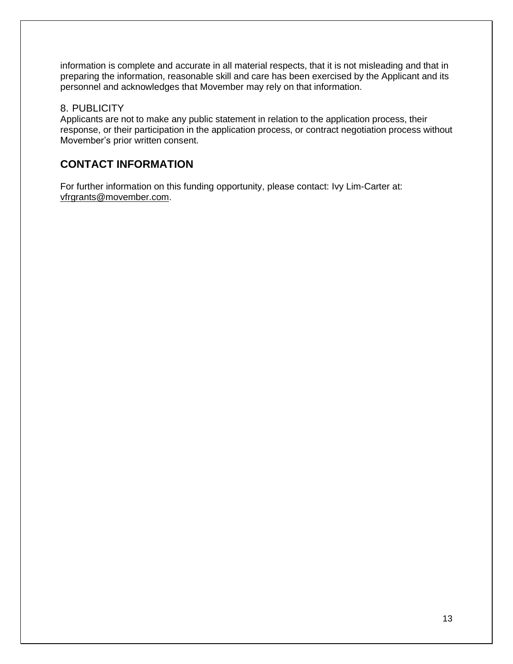information is complete and accurate in all material respects, that it is not misleading and that in preparing the information, reasonable skill and care has been exercised by the Applicant and its personnel and acknowledges that Movember may rely on that information.

#### <span id="page-13-0"></span>8. PUBLICITY

Applicants are not to make any public statement in relation to the application process, their response, or their participation in the application process, or contract negotiation process without Movember's prior written consent.

# <span id="page-13-1"></span>**CONTACT INFORMATION**

For further information on this funding opportunity, please contact: Ivy Lim-Carter at: [vfrgrants@movember.com.](mailto:vfrgrants@movember.com)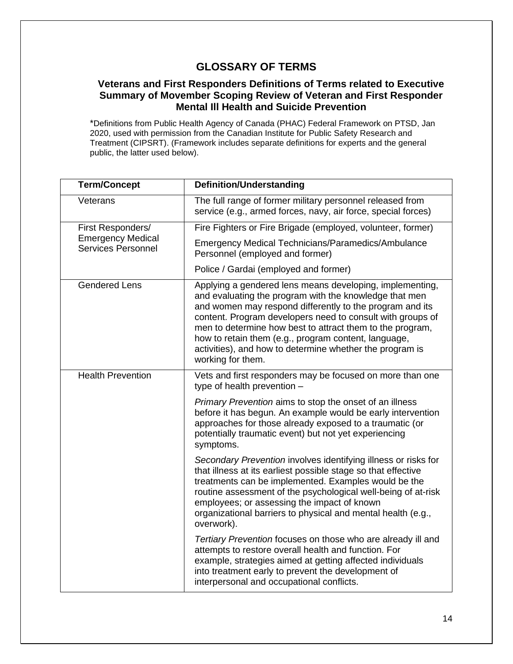## **GLOSSARY OF TERMS**

#### **Veterans and First Responders Definitions of Terms related to Executive Summary of Movember Scoping Review of Veteran and First Responder Mental Ill Health and Suicide Prevention**

\*Definitions from Public Health Agency of Canada (PHAC) Federal Framework on PTSD, Jan 2020, used with permission from the Canadian Institute for Public Safety Research and Treatment (CIPSRT). (Framework includes separate definitions for experts and the general public, the latter used below).

| <b>Term/Concept</b>                                                        | <b>Definition/Understanding</b>                                                                                                                                                                                                                                                                                                                                                                                                                    |
|----------------------------------------------------------------------------|----------------------------------------------------------------------------------------------------------------------------------------------------------------------------------------------------------------------------------------------------------------------------------------------------------------------------------------------------------------------------------------------------------------------------------------------------|
| Veterans                                                                   | The full range of former military personnel released from<br>service (e.g., armed forces, navy, air force, special forces)                                                                                                                                                                                                                                                                                                                         |
| First Responders/<br><b>Emergency Medical</b><br><b>Services Personnel</b> | Fire Fighters or Fire Brigade (employed, volunteer, former)                                                                                                                                                                                                                                                                                                                                                                                        |
|                                                                            | <b>Emergency Medical Technicians/Paramedics/Ambulance</b><br>Personnel (employed and former)                                                                                                                                                                                                                                                                                                                                                       |
|                                                                            | Police / Gardai (employed and former)                                                                                                                                                                                                                                                                                                                                                                                                              |
| <b>Gendered Lens</b>                                                       | Applying a gendered lens means developing, implementing,<br>and evaluating the program with the knowledge that men<br>and women may respond differently to the program and its<br>content. Program developers need to consult with groups of<br>men to determine how best to attract them to the program,<br>how to retain them (e.g., program content, language,<br>activities), and how to determine whether the program is<br>working for them. |
| <b>Health Prevention</b>                                                   | Vets and first responders may be focused on more than one<br>type of health prevention -                                                                                                                                                                                                                                                                                                                                                           |
|                                                                            | Primary Prevention aims to stop the onset of an illness<br>before it has begun. An example would be early intervention<br>approaches for those already exposed to a traumatic (or<br>potentially traumatic event) but not yet experiencing<br>symptoms.                                                                                                                                                                                            |
|                                                                            | Secondary Prevention involves identifying illness or risks for<br>that illness at its earliest possible stage so that effective<br>treatments can be implemented. Examples would be the<br>routine assessment of the psychological well-being of at-risk<br>employees; or assessing the impact of known<br>organizational barriers to physical and mental health (e.g.,<br>overwork).                                                              |
|                                                                            | Tertiary Prevention focuses on those who are already ill and<br>attempts to restore overall health and function. For<br>example, strategies aimed at getting affected individuals<br>into treatment early to prevent the development of<br>interpersonal and occupational conflicts.                                                                                                                                                               |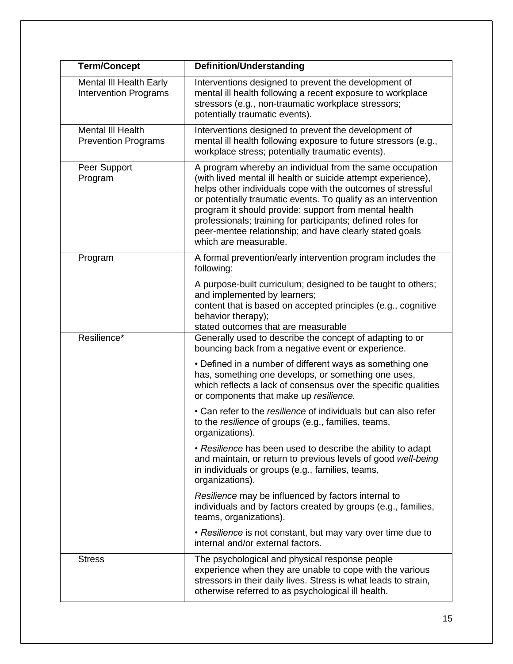| <b>Term/Concept</b>                                     | <b>Definition/Understanding</b>                                                                                                                                                                                                                                                                                                                                                                                                                                        |
|---------------------------------------------------------|------------------------------------------------------------------------------------------------------------------------------------------------------------------------------------------------------------------------------------------------------------------------------------------------------------------------------------------------------------------------------------------------------------------------------------------------------------------------|
| Mental III Health Early<br><b>Intervention Programs</b> | Interventions designed to prevent the development of<br>mental ill health following a recent exposure to workplace<br>stressors (e.g., non-traumatic workplace stressors;<br>potentially traumatic events).                                                                                                                                                                                                                                                            |
| Mental III Health<br><b>Prevention Programs</b>         | Interventions designed to prevent the development of<br>mental ill health following exposure to future stressors (e.g.,<br>workplace stress; potentially traumatic events).                                                                                                                                                                                                                                                                                            |
| Peer Support<br>Program                                 | A program whereby an individual from the same occupation<br>(with lived mental ill health or suicide attempt experience),<br>helps other individuals cope with the outcomes of stressful<br>or potentially traumatic events. To qualify as an intervention<br>program it should provide: support from mental health<br>professionals; training for participants; defined roles for<br>peer-mentee relationship; and have clearly stated goals<br>which are measurable. |
| Program                                                 | A formal prevention/early intervention program includes the<br>following:                                                                                                                                                                                                                                                                                                                                                                                              |
|                                                         | A purpose-built curriculum; designed to be taught to others;<br>and implemented by learners;<br>content that is based on accepted principles (e.g., cognitive<br>behavior therapy);<br>stated outcomes that are measurable                                                                                                                                                                                                                                             |
| Resilience*                                             | Generally used to describe the concept of adapting to or<br>bouncing back from a negative event or experience.                                                                                                                                                                                                                                                                                                                                                         |
|                                                         | • Defined in a number of different ways as something one<br>has, something one develops, or something one uses,<br>which reflects a lack of consensus over the specific qualities<br>or components that make up resilience.                                                                                                                                                                                                                                            |
|                                                         | • Can refer to the resilience of individuals but can also refer<br>to the resilience of groups (e.g., families, teams,<br>organizations).                                                                                                                                                                                                                                                                                                                              |
|                                                         | • Resilience has been used to describe the ability to adapt<br>and maintain, or return to previous levels of good well-being<br>in individuals or groups (e.g., families, teams,<br>organizations).                                                                                                                                                                                                                                                                    |
|                                                         | Resilience may be influenced by factors internal to<br>individuals and by factors created by groups (e.g., families,<br>teams, organizations).                                                                                                                                                                                                                                                                                                                         |
|                                                         | • Resilience is not constant, but may vary over time due to<br>internal and/or external factors.                                                                                                                                                                                                                                                                                                                                                                       |
| <b>Stress</b>                                           | The psychological and physical response people<br>experience when they are unable to cope with the various<br>stressors in their daily lives. Stress is what leads to strain,<br>otherwise referred to as psychological ill health.                                                                                                                                                                                                                                    |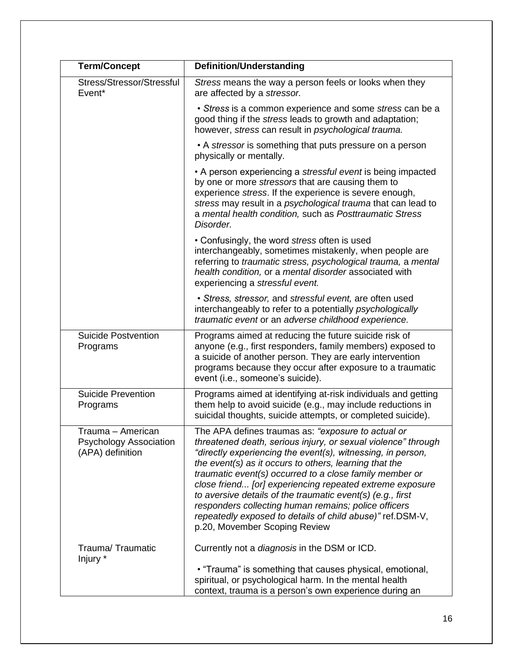| <b>Term/Concept</b>                                                    | <b>Definition/Understanding</b>                                                                                                                                                                                                                                                                                                                                                                                                                                                                                                                                                         |
|------------------------------------------------------------------------|-----------------------------------------------------------------------------------------------------------------------------------------------------------------------------------------------------------------------------------------------------------------------------------------------------------------------------------------------------------------------------------------------------------------------------------------------------------------------------------------------------------------------------------------------------------------------------------------|
| Stress/Stressor/Stressful<br>Event*                                    | Stress means the way a person feels or looks when they<br>are affected by a stressor.                                                                                                                                                                                                                                                                                                                                                                                                                                                                                                   |
|                                                                        | • Stress is a common experience and some stress can be a<br>good thing if the stress leads to growth and adaptation;<br>however, stress can result in psychological trauma.                                                                                                                                                                                                                                                                                                                                                                                                             |
|                                                                        | • A stressor is something that puts pressure on a person<br>physically or mentally.                                                                                                                                                                                                                                                                                                                                                                                                                                                                                                     |
|                                                                        | • A person experiencing a stressful event is being impacted<br>by one or more stressors that are causing them to<br>experience stress. If the experience is severe enough,<br>stress may result in a psychological trauma that can lead to<br>a mental health condition, such as Posttraumatic Stress<br>Disorder.                                                                                                                                                                                                                                                                      |
|                                                                        | • Confusingly, the word stress often is used<br>interchangeably, sometimes mistakenly, when people are<br>referring to traumatic stress, psychological trauma, a mental<br>health condition, or a mental disorder associated with<br>experiencing a stressful event.                                                                                                                                                                                                                                                                                                                    |
|                                                                        | • Stress, stressor, and stressful event, are often used<br>interchangeably to refer to a potentially psychologically<br>traumatic event or an adverse childhood experience.                                                                                                                                                                                                                                                                                                                                                                                                             |
| <b>Suicide Postvention</b><br>Programs                                 | Programs aimed at reducing the future suicide risk of<br>anyone (e.g., first responders, family members) exposed to<br>a suicide of another person. They are early intervention<br>programs because they occur after exposure to a traumatic<br>event (i.e., someone's suicide).                                                                                                                                                                                                                                                                                                        |
| <b>Suicide Prevention</b><br>Programs                                  | Programs aimed at identifying at-risk individuals and getting<br>them help to avoid suicide (e.g., may include reductions in<br>suicidal thoughts, suicide attempts, or completed suicide).                                                                                                                                                                                                                                                                                                                                                                                             |
| Trauma – American<br><b>Psychology Association</b><br>(APA) definition | The APA defines traumas as: "exposure to actual or<br>threatened death, serious injury, or sexual violence" through<br>"directly experiencing the event(s), witnessing, in person,<br>the event(s) as it occurs to others, learning that the<br>traumatic event(s) occurred to a close family member or<br>close friend [or] experiencing repeated extreme exposure<br>to aversive details of the traumatic event(s) (e.g., first<br>responders collecting human remains; police officers<br>repeatedly exposed to details of child abuse)" ref.DSM-V,<br>p.20, Movember Scoping Review |
| Trauma/Traumatic<br>Injury *                                           | Currently not a <i>diagnosis</i> in the DSM or ICD.                                                                                                                                                                                                                                                                                                                                                                                                                                                                                                                                     |
|                                                                        | • "Trauma" is something that causes physical, emotional,<br>spiritual, or psychological harm. In the mental health<br>context, trauma is a person's own experience during an                                                                                                                                                                                                                                                                                                                                                                                                            |